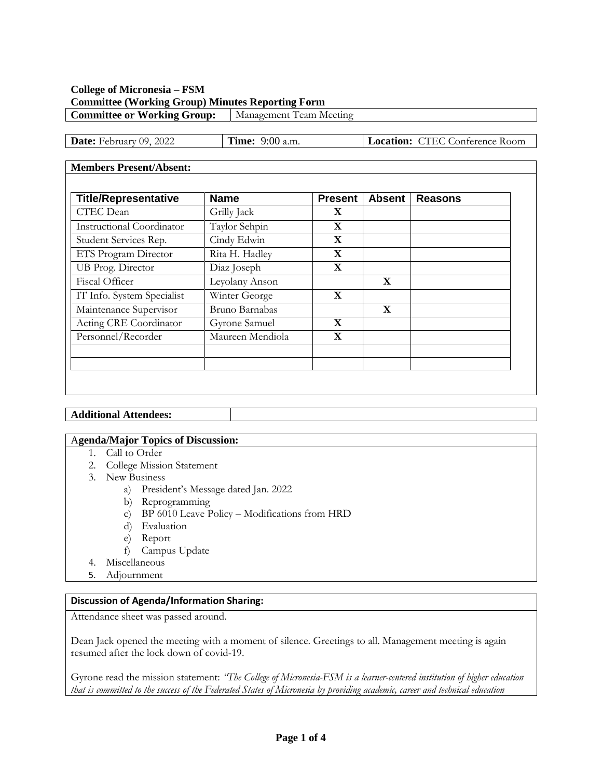## **College of Micronesia – FSM Committee (Working Group) Minutes Reporting Form Committee or Working Group:** | Management Team Meeting

| <b>Date:</b> February 09, 2022 | <b>Time:</b> 9:00 a.m. | <b>Location:</b> CTEC Conference Room |
|--------------------------------|------------------------|---------------------------------------|
|                                |                        |                                       |

#### **Members Present/Absent:**

| <b>Title/Representative</b>      | <b>Name</b>      | <b>Present</b> | <b>Absent</b> | <b>Reasons</b> |
|----------------------------------|------------------|----------------|---------------|----------------|
| <b>CTEC</b> Dean                 | Grilly Jack      | X              |               |                |
| <b>Instructional Coordinator</b> | Taylor Sehpin    | X              |               |                |
| Student Services Rep.            | Cindy Edwin      | X              |               |                |
| ETS Program Director             | Rita H. Hadley   | X              |               |                |
| UB Prog. Director                | Diaz Joseph      | X              |               |                |
| <b>Fiscal Officer</b>            | Leyolany Anson   |                | $\mathbf{X}$  |                |
| IT Info. System Specialist       | Winter George    | X              |               |                |
| Maintenance Supervisor           | Bruno Barnabas   |                | X             |                |
| Acting CRE Coordinator           | Gyrone Samuel    | X              |               |                |
| Personnel/Recorder               | Maureen Mendiola | X              |               |                |
|                                  |                  |                |               |                |
|                                  |                  |                |               |                |

**Additional Attendees:**

### A**genda/Major Topics of Discussion:**

- 1. Call to Order
- 2. College Mission Statement
- 3. New Business
	- a) President's Message dated Jan. 2022
	- b) Reprogramming
	- c) BP 6010 Leave Policy Modifications from HRD
	- d) Evaluation
	- e) Report
	- f) Campus Update
- 4. Miscellaneous
- 5. Adjournment

### **Discussion of Agenda/Information Sharing:**

Attendance sheet was passed around.

Dean Jack opened the meeting with a moment of silence. Greetings to all. Management meeting is again resumed after the lock down of covid-19.

Gyrone read the mission statement: *"The College of Micronesia-FSM is a learner-centered institution of higher education that is committed to the success of the Federated States of Micronesia by providing academic, career and technical education*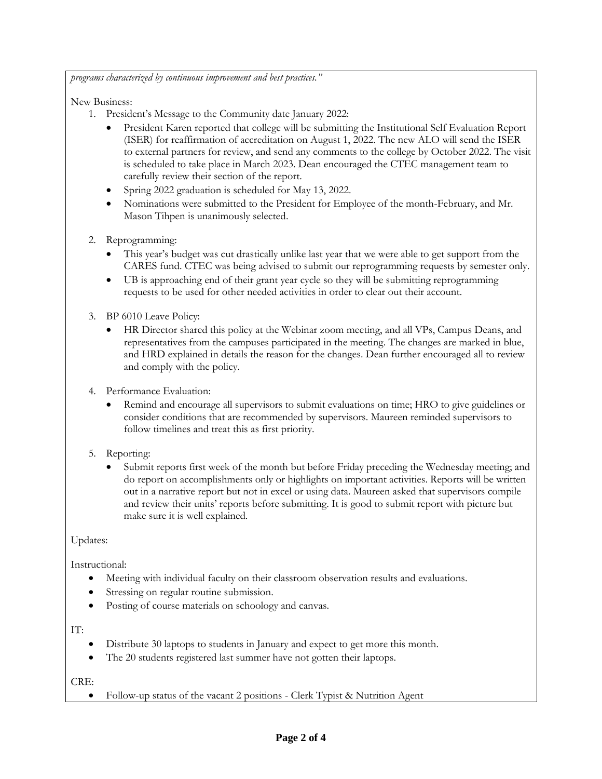*programs characterized by continuous improvement and best practices."*

New Business:

- 1. President's Message to the Community date January 2022:
	- President Karen reported that college will be submitting the Institutional Self Evaluation Report (ISER) for reaffirmation of accreditation on August 1, 2022. The new ALO will send the ISER to external partners for review, and send any comments to the college by October 2022. The visit is scheduled to take place in March 2023. Dean encouraged the CTEC management team to carefully review their section of the report.
	- Spring 2022 graduation is scheduled for May 13, 2022.
	- Nominations were submitted to the President for Employee of the month-February, and Mr. Mason Tihpen is unanimously selected.
- 2. Reprogramming:
	- This year's budget was cut drastically unlike last year that we were able to get support from the CARES fund. CTEC was being advised to submit our reprogramming requests by semester only.
	- UB is approaching end of their grant year cycle so they will be submitting reprogramming requests to be used for other needed activities in order to clear out their account.
- 3. BP 6010 Leave Policy:
	- HR Director shared this policy at the Webinar zoom meeting, and all VPs, Campus Deans, and representatives from the campuses participated in the meeting. The changes are marked in blue, and HRD explained in details the reason for the changes. Dean further encouraged all to review and comply with the policy.
- 4. Performance Evaluation:
	- Remind and encourage all supervisors to submit evaluations on time; HRO to give guidelines or consider conditions that are recommended by supervisors. Maureen reminded supervisors to follow timelines and treat this as first priority.

## 5. Reporting:

 Submit reports first week of the month but before Friday preceding the Wednesday meeting; and do report on accomplishments only or highlights on important activities. Reports will be written out in a narrative report but not in excel or using data. Maureen asked that supervisors compile and review their units' reports before submitting. It is good to submit report with picture but make sure it is well explained.

Updates:

Instructional:

- Meeting with individual faculty on their classroom observation results and evaluations.
- Stressing on regular routine submission.
- Posting of course materials on schoology and canvas.

## IT:

- Distribute 30 laptops to students in January and expect to get more this month.
- The 20 students registered last summer have not gotten their laptops.

CRE:

Follow-up status of the vacant 2 positions - Clerk Typist & Nutrition Agent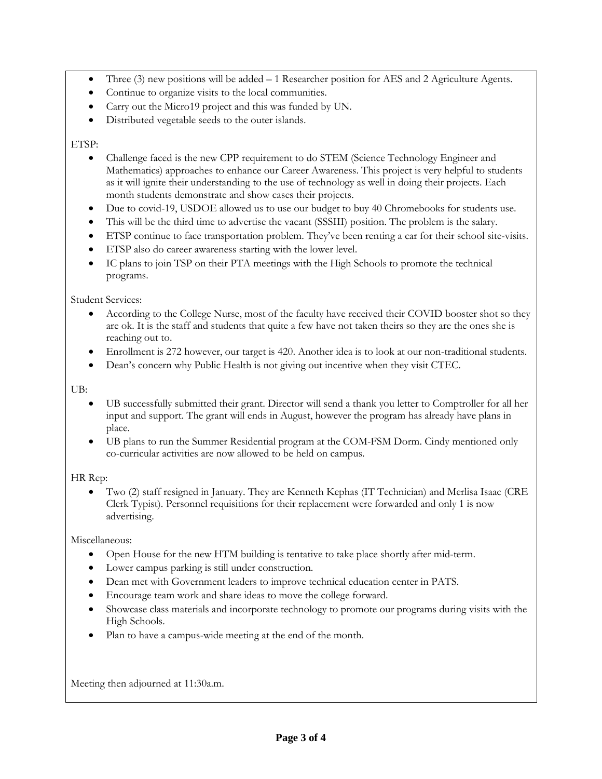- Three (3) new positions will be added  $-1$  Researcher position for AES and 2 Agriculture Agents.
- Continue to organize visits to the local communities.
- Carry out the Micro19 project and this was funded by UN.
- Distributed vegetable seeds to the outer islands.

## ETSP:

- Challenge faced is the new CPP requirement to do STEM (Science Technology Engineer and Mathematics) approaches to enhance our Career Awareness. This project is very helpful to students as it will ignite their understanding to the use of technology as well in doing their projects. Each month students demonstrate and show cases their projects.
- Due to covid-19, USDOE allowed us to use our budget to buy 40 Chromebooks for students use.
- This will be the third time to advertise the vacant (SSSIII) position. The problem is the salary.
- ETSP continue to face transportation problem. They've been renting a car for their school site-visits.
- ETSP also do career awareness starting with the lower level.
- IC plans to join TSP on their PTA meetings with the High Schools to promote the technical programs.

### Student Services:

- According to the College Nurse, most of the faculty have received their COVID booster shot so they are ok. It is the staff and students that quite a few have not taken theirs so they are the ones she is reaching out to.
- Enrollment is 272 however, our target is 420. Another idea is to look at our non-traditional students.
- Dean's concern why Public Health is not giving out incentive when they visit CTEC.

#### UB:

- UB successfully submitted their grant. Director will send a thank you letter to Comptroller for all her input and support. The grant will ends in August, however the program has already have plans in place.
- UB plans to run the Summer Residential program at the COM-FSM Dorm. Cindy mentioned only co-curricular activities are now allowed to be held on campus.

### HR Rep:

 Two (2) staff resigned in January. They are Kenneth Kephas (IT Technician) and Merlisa Isaac (CRE Clerk Typist). Personnel requisitions for their replacement were forwarded and only 1 is now advertising.

### Miscellaneous:

- Open House for the new HTM building is tentative to take place shortly after mid-term.
- Lower campus parking is still under construction.
- Dean met with Government leaders to improve technical education center in PATS.
- Encourage team work and share ideas to move the college forward.
- Showcase class materials and incorporate technology to promote our programs during visits with the High Schools.
- Plan to have a campus-wide meeting at the end of the month.

Meeting then adjourned at 11:30a.m.